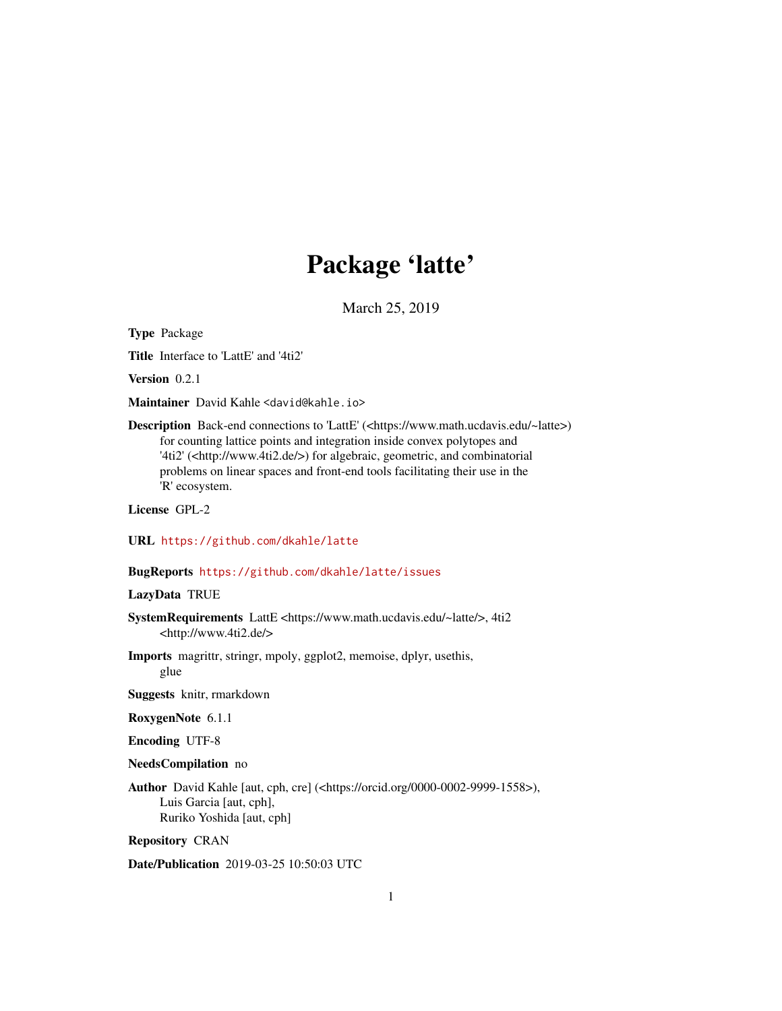# Package 'latte'

March 25, 2019

<span id="page-0-0"></span>Type Package

Title Interface to 'LattE' and '4ti2'

Version 0.2.1

Maintainer David Kahle <david@kahle.io>

Description Back-end connections to 'LattE' (<https://www.math.ucdavis.edu/~latte>) for counting lattice points and integration inside convex polytopes and '4ti2' (<http://www.4ti2.de/>) for algebraic, geometric, and combinatorial problems on linear spaces and front-end tools facilitating their use in the 'R' ecosystem.

License GPL-2

URL <https://github.com/dkahle/latte>

#### BugReports <https://github.com/dkahle/latte/issues>

#### LazyData TRUE

- SystemRequirements LattE <https://www.math.ucdavis.edu/~latte/>, 4ti2 <http://www.4ti2.de/>
- Imports magrittr, stringr, mpoly, ggplot2, memoise, dplyr, usethis, glue

Suggests knitr, rmarkdown

RoxygenNote 6.1.1

Encoding UTF-8

#### NeedsCompilation no

Author David Kahle [aut, cph, cre] (<https://orcid.org/0000-0002-9999-1558>), Luis Garcia [aut, cph], Ruriko Yoshida [aut, cph]

Repository CRAN

Date/Publication 2019-03-25 10:50:03 UTC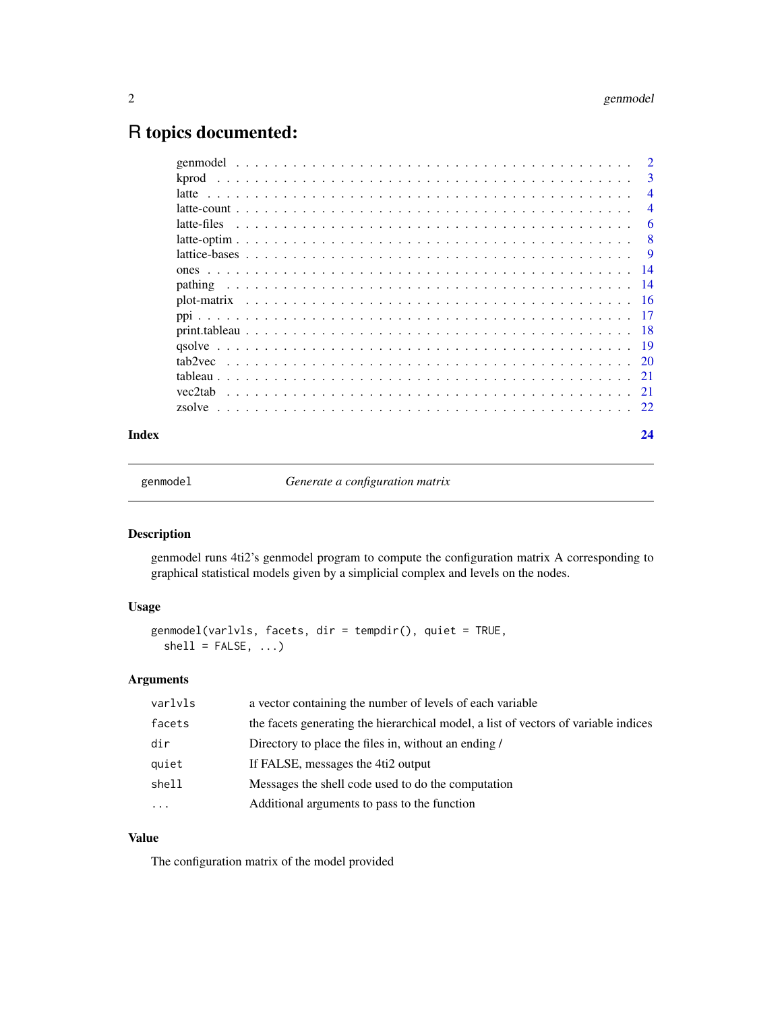# <span id="page-1-0"></span>R topics documented:

| Index |             |  |  |  |  |  |  |  |  |  |  |  |  |  |  |  |  |  |  |  | 24             |
|-------|-------------|--|--|--|--|--|--|--|--|--|--|--|--|--|--|--|--|--|--|--|----------------|
|       |             |  |  |  |  |  |  |  |  |  |  |  |  |  |  |  |  |  |  |  |                |
|       |             |  |  |  |  |  |  |  |  |  |  |  |  |  |  |  |  |  |  |  |                |
|       |             |  |  |  |  |  |  |  |  |  |  |  |  |  |  |  |  |  |  |  |                |
|       |             |  |  |  |  |  |  |  |  |  |  |  |  |  |  |  |  |  |  |  |                |
|       |             |  |  |  |  |  |  |  |  |  |  |  |  |  |  |  |  |  |  |  |                |
|       |             |  |  |  |  |  |  |  |  |  |  |  |  |  |  |  |  |  |  |  |                |
|       |             |  |  |  |  |  |  |  |  |  |  |  |  |  |  |  |  |  |  |  |                |
|       |             |  |  |  |  |  |  |  |  |  |  |  |  |  |  |  |  |  |  |  |                |
|       |             |  |  |  |  |  |  |  |  |  |  |  |  |  |  |  |  |  |  |  |                |
|       |             |  |  |  |  |  |  |  |  |  |  |  |  |  |  |  |  |  |  |  |                |
|       |             |  |  |  |  |  |  |  |  |  |  |  |  |  |  |  |  |  |  |  |                |
|       |             |  |  |  |  |  |  |  |  |  |  |  |  |  |  |  |  |  |  |  |                |
|       | latte-files |  |  |  |  |  |  |  |  |  |  |  |  |  |  |  |  |  |  |  | -6             |
|       |             |  |  |  |  |  |  |  |  |  |  |  |  |  |  |  |  |  |  |  | $\overline{4}$ |
|       |             |  |  |  |  |  |  |  |  |  |  |  |  |  |  |  |  |  |  |  | $\overline{4}$ |
|       |             |  |  |  |  |  |  |  |  |  |  |  |  |  |  |  |  |  |  |  | -3             |
|       |             |  |  |  |  |  |  |  |  |  |  |  |  |  |  |  |  |  |  |  |                |

genmodel *Generate a configuration matrix*

# Description

genmodel runs 4ti2's genmodel program to compute the configuration matrix A corresponding to graphical statistical models given by a simplicial complex and levels on the nodes.

# Usage

genmodel(varlvls, facets, dir = tempdir(), quiet = TRUE,  $shell = FALSE, ...)$ 

# Arguments

| varlvls  | a vector containing the number of levels of each variable                           |
|----------|-------------------------------------------------------------------------------------|
| facets   | the facets generating the hierarchical model, a list of vectors of variable indices |
| dir      | Directory to place the files in, without an ending /                                |
| quiet    | If FALSE, messages the 4ti2 output                                                  |
| shell    | Messages the shell code used to do the computation                                  |
| $\cdots$ | Additional arguments to pass to the function                                        |
|          |                                                                                     |

# Value

The configuration matrix of the model provided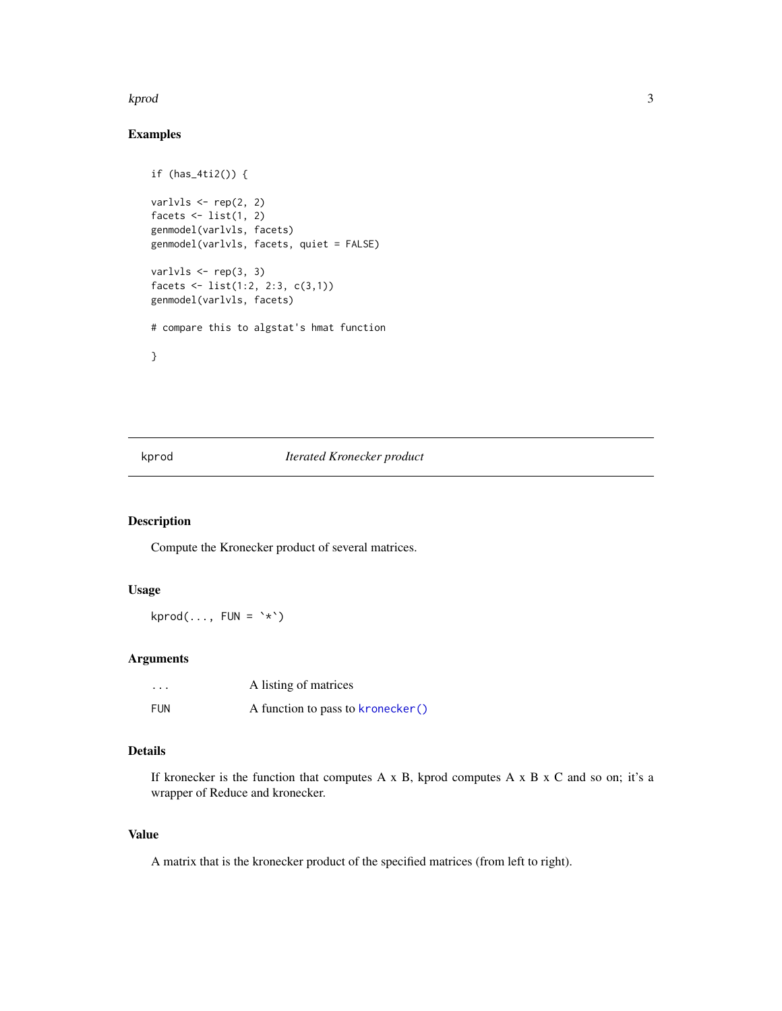#### <span id="page-2-0"></span>kprod 3

# Examples

```
if (has_4ti2()) {
varlvls <- rep(2, 2)
facets \le list(1, 2)
genmodel(varlvls, facets)
genmodel(varlvls, facets, quiet = FALSE)
varlvls <- rep(3, 3)
facets <- list(1:2, 2:3, c(3,1))
genmodel(varlvls, facets)
# compare this to algstat's hmat function
}
```
# kprod *Iterated Kronecker product*

# Description

Compute the Kronecker product of several matrices.

# Usage

 $kprod(..., \text{ FUN} = '*)$ 

# Arguments

| $\cdots$   | A listing of matrices             |
|------------|-----------------------------------|
| <b>FUN</b> | A function to pass to kronecker() |

#### Details

If kronecker is the function that computes  $A \times B$ , kprod computes  $A \times B \times C$  and so on; it's a wrapper of Reduce and kronecker.

# Value

A matrix that is the kronecker product of the specified matrices (from left to right).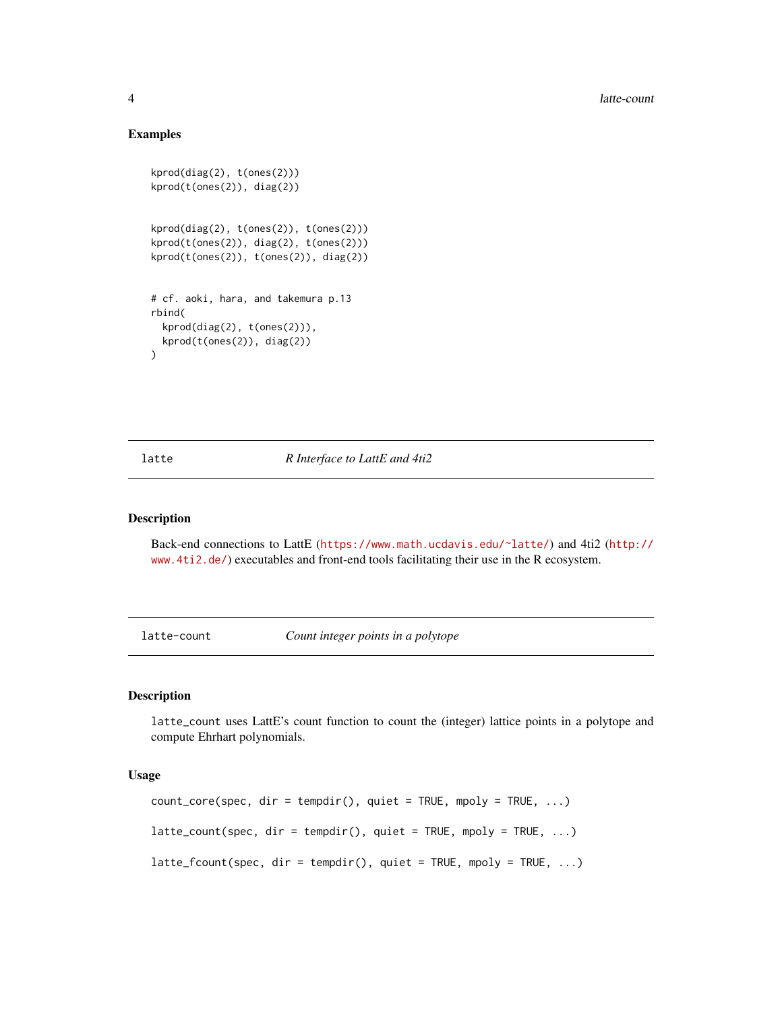#### Examples

```
kprod(diag(2), t(ones(2)))
kprod(t(ones(2)), diag(2))
kprod(diag(2), t(ones(2)), t(ones(2)))
kprod(t(ones(2)), diag(2), t(ones(2)))
kprod(t(ones(2)), t(ones(2)), diag(2))
# cf. aoki, hara, and takemura p.13
rbind(
 kprod(diag(2), t(ones(2))),
 kprod(t(ones(2)), diag(2))
\lambda
```
latte *R Interface to LattE and 4ti2*

# Description

Back-end connections to LattE (<https://www.math.ucdavis.edu/~latte/>) and 4ti2 ([http://](http://www.4ti2.de/) [www.4ti2.de/](http://www.4ti2.de/)) executables and front-end tools facilitating their use in the R ecosystem.

latte-count *Count integer points in a polytope*

#### Description

latte\_count uses LattE's count function to count the (integer) lattice points in a polytope and compute Ehrhart polynomials.

#### Usage

```
count\_core(spec, dir = tempdir(), quiet = TRUE, mpoly = TRUE, ...)lattice_count(spec, dir = tempdir(), quiet = TRUE, mpoly = TRUE, ...)latte_fcount(spec, dir = tempdir(), quiet = TRUE, mpoly = TRUE, ...)
```
<span id="page-3-0"></span>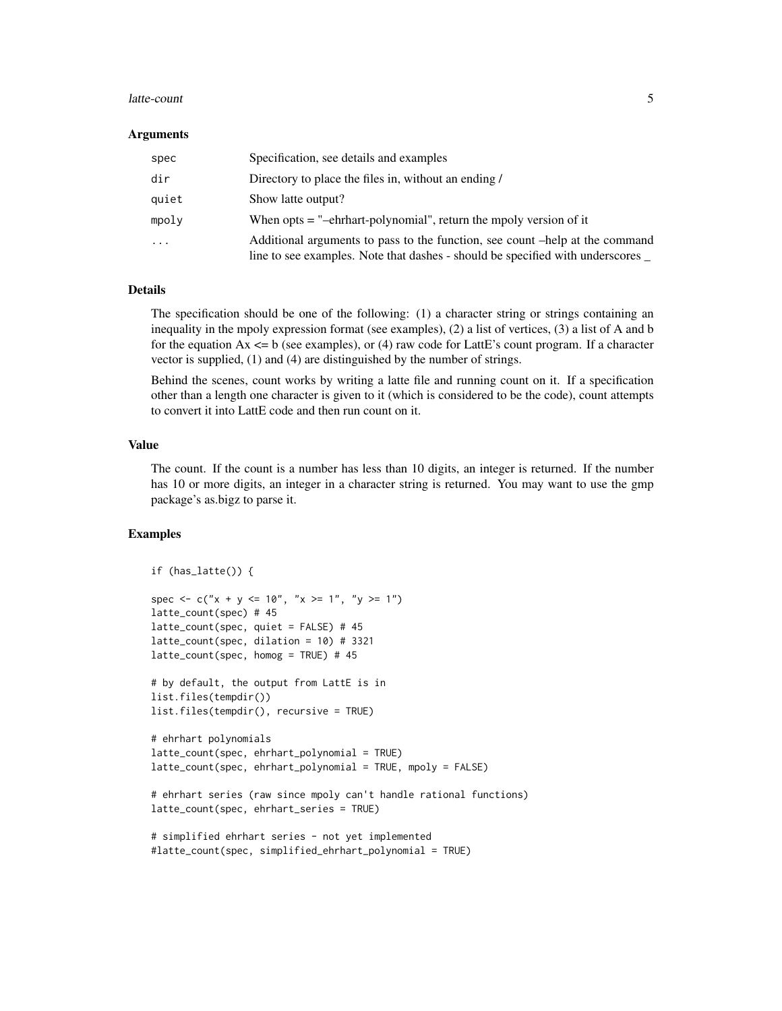#### latte-count 5

#### **Arguments**

| spec     | Specification, see details and examples                                                                                                                         |
|----------|-----------------------------------------------------------------------------------------------------------------------------------------------------------------|
| dir      | Directory to place the files in, without an ending /                                                                                                            |
| quiet    | Show latte output?                                                                                                                                              |
| mpolv    | When $opts =$ "-ehrhart-polynomial", return the mpoly version of it                                                                                             |
| $\cdots$ | Additional arguments to pass to the function, see count –help at the command<br>line to see examples. Note that dashes - should be specified with underscores _ |

#### Details

The specification should be one of the following: (1) a character string or strings containing an inequality in the mpoly expression format (see examples), (2) a list of vertices, (3) a list of A and b for the equation  $Ax \leq b$  (see examples), or (4) raw code for LattE's count program. If a character vector is supplied, (1) and (4) are distinguished by the number of strings.

Behind the scenes, count works by writing a latte file and running count on it. If a specification other than a length one character is given to it (which is considered to be the code), count attempts to convert it into LattE code and then run count on it.

#### Value

The count. If the count is a number has less than 10 digits, an integer is returned. If the number has 10 or more digits, an integer in a character string is returned. You may want to use the gmp package's as.bigz to parse it.

```
if (has_latte()) {
spec <- c("x + y <= 10", "x >= 1", "y >= 1")
latte_count(spec) # 45
latte_count(spec, quiet = FALSE) # 45
latte_count(spec, dilation = 10) # 3321
latte_count(spec, homog = TRUE) # 45
# by default, the output from LattE is in
list.files(tempdir())
list.files(tempdir(), recursive = TRUE)
# ehrhart polynomials
latte_count(spec, ehrhart_polynomial = TRUE)
latte_count(spec, ehrhart_polynomial = TRUE, mpoly = FALSE)
# ehrhart series (raw since mpoly can't handle rational functions)
latte_count(spec, ehrhart_series = TRUE)
# simplified ehrhart series - not yet implemented
#latte_count(spec, simplified_ehrhart_polynomial = TRUE)
```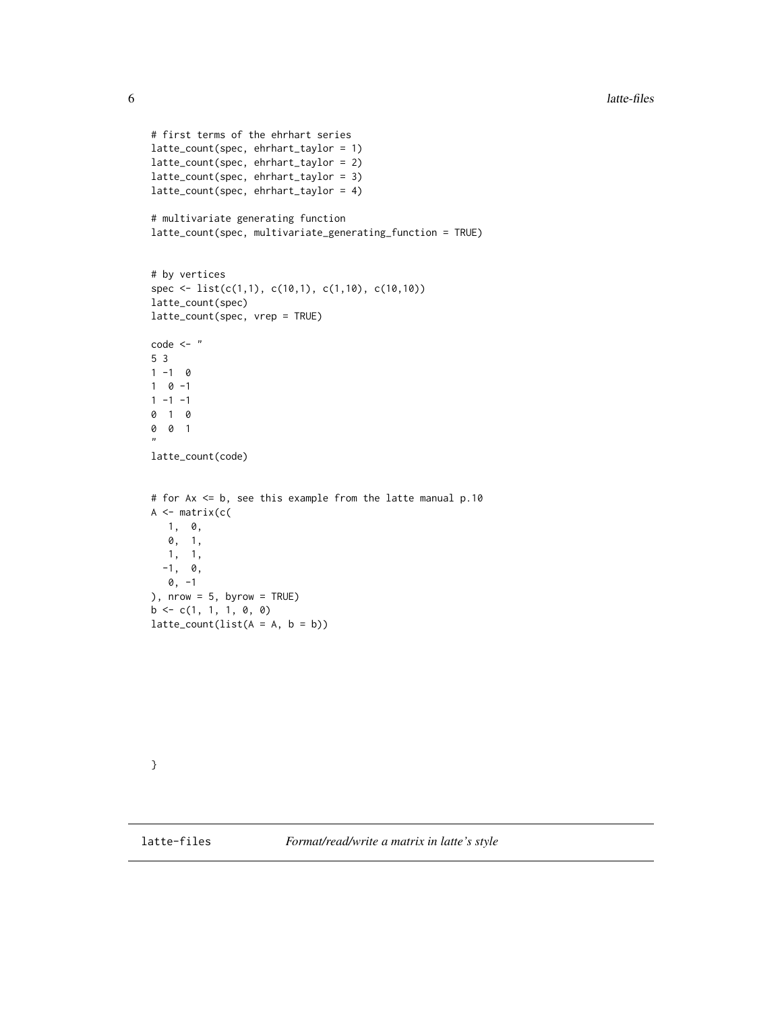```
# first terms of the ehrhart series
latte_count(spec, ehrhart_taylor = 1)
latte_count(spec, ehrhart_taylor = 2)
latte_count(spec, ehrhart_taylor = 3)
latte_count(spec, ehrhart_taylor = 4)
# multivariate generating function
latte_count(spec, multivariate_generating_function = TRUE)
# by vertices
spec <- list(c(1,1), c(10,1), c(1,10), c(10,10))
latte_count(spec)
latte_count(spec, vrep = TRUE)
code < - "
5 3
1 - 1 01 \ 0 \ -11 - 1 - 10 1 0
0 0 1
,,
latte_count(code)
# for Ax <= b, see this example from the latte manual p.10
A \leftarrow matrix(c)1, 0,
  0, 1,
  1, 1,
  -1, 0,0, -1
), nrow = 5, byrow = TRUE)
b \leftarrow c(1, 1, 1, 0, 0)lattice_count(list(A = A, b = b))
```
}

<span id="page-5-1"></span>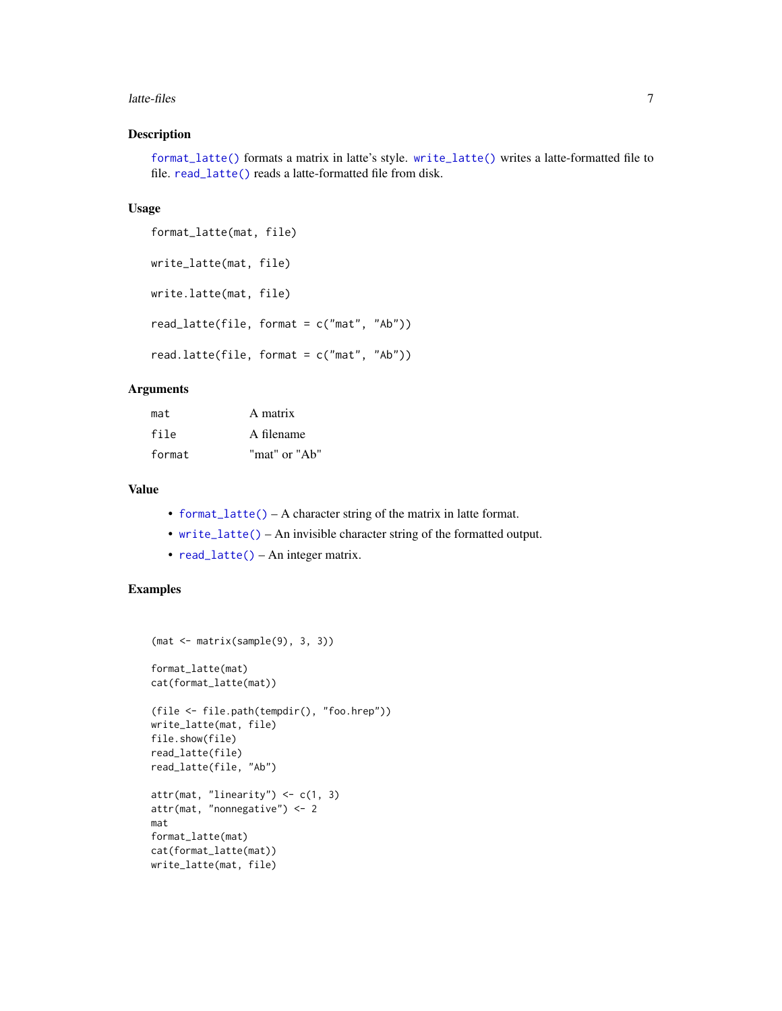#### <span id="page-6-0"></span>latte-files 7

# Description

[format\\_latte\(\)](#page-5-1) formats a matrix in latte's style. [write\\_latte\(\)](#page-5-1) writes a latte-formatted file to file. [read\\_latte\(\)](#page-5-1) reads a latte-formatted file from disk.

#### Usage

```
format_latte(mat, file)
write_latte(mat, file)
write.latte(mat, file)
read_latte(file, format = c("mat", "Ab"))
read.latte(file, format = c("mat", "Ab"))
```
#### Arguments

| mat    | A matrix      |
|--------|---------------|
| file   | A filename    |
| format | "mat" or "Ab" |

# Value

- [format\\_latte\(\)](#page-5-1) A character string of the matrix in latte format.
- [write\\_latte\(\)](#page-5-1) An invisible character string of the formatted output.
- [read\\_latte\(\)](#page-5-1) An integer matrix.

```
(mat <- matrix(sample(9), 3, 3))
format_latte(mat)
cat(format_latte(mat))
(file <- file.path(tempdir(), "foo.hrep"))
write_latte(mat, file)
file.show(file)
read_latte(file)
read_latte(file, "Ab")
attr(mat, "linearity") \leftarrow c(1, 3)attr(mat, "nonnegative") <- 2
mat
format_latte(mat)
cat(format_latte(mat))
write_latte(mat, file)
```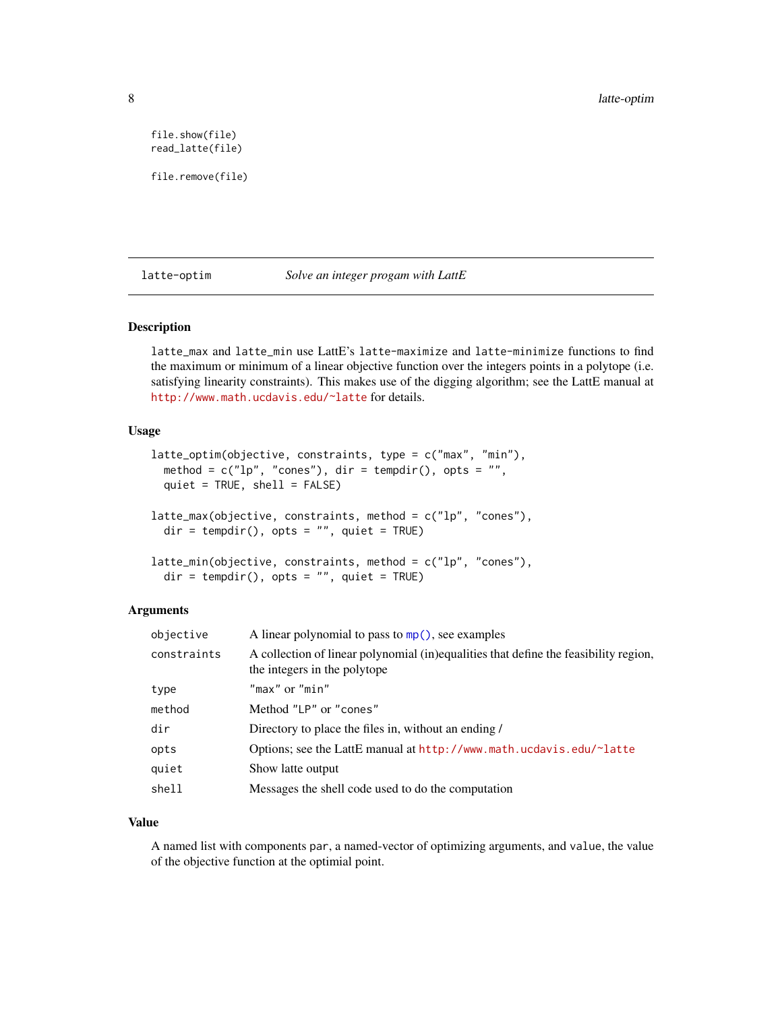<span id="page-7-0"></span>file.show(file) read\_latte(file)

file.remove(file)

latte-optim *Solve an integer progam with LattE*

#### Description

latte\_max and latte\_min use LattE's latte-maximize and latte-minimize functions to find the maximum or minimum of a linear objective function over the integers points in a polytope (i.e. satisfying linearity constraints). This makes use of the digging algorithm; see the LattE manual at <http://www.math.ucdavis.edu/~latte> for details.

#### Usage

```
latte_optim(objective, constraints, type = c("max", "min"),
 method = c("lp", "cones"), dir = tempdir(), opts = "",quiet = TRUE, shell = FALSE)latte_max(objective, constraints, method = c("lp", "cones"),dir = tempdir(), opts = "", quiet = TRUE)latte_min(objective, constraints, method = c("lp", "cones"),dir = tempdir(), opts = "", quiet = TRUE)
```
#### Arguments

| objective   | A linear polynomial to pass to $mp()$ , see examples                                                                 |
|-------------|----------------------------------------------------------------------------------------------------------------------|
| constraints | A collection of linear polynomial (in)equalities that define the feasibility region,<br>the integers in the polytope |
| type        | "max" or "min"                                                                                                       |
| method      | Method "LP" or "cones"                                                                                               |
| dir         | Directory to place the files in, without an ending /                                                                 |
| opts        | Options; see the LattE manual at $http://www.math.ucdavis.edu/~latte$                                                |
| quiet       | Show latte output                                                                                                    |
| shell       | Messages the shell code used to do the computation                                                                   |

# Value

A named list with components par, a named-vector of optimizing arguments, and value, the value of the objective function at the optimial point.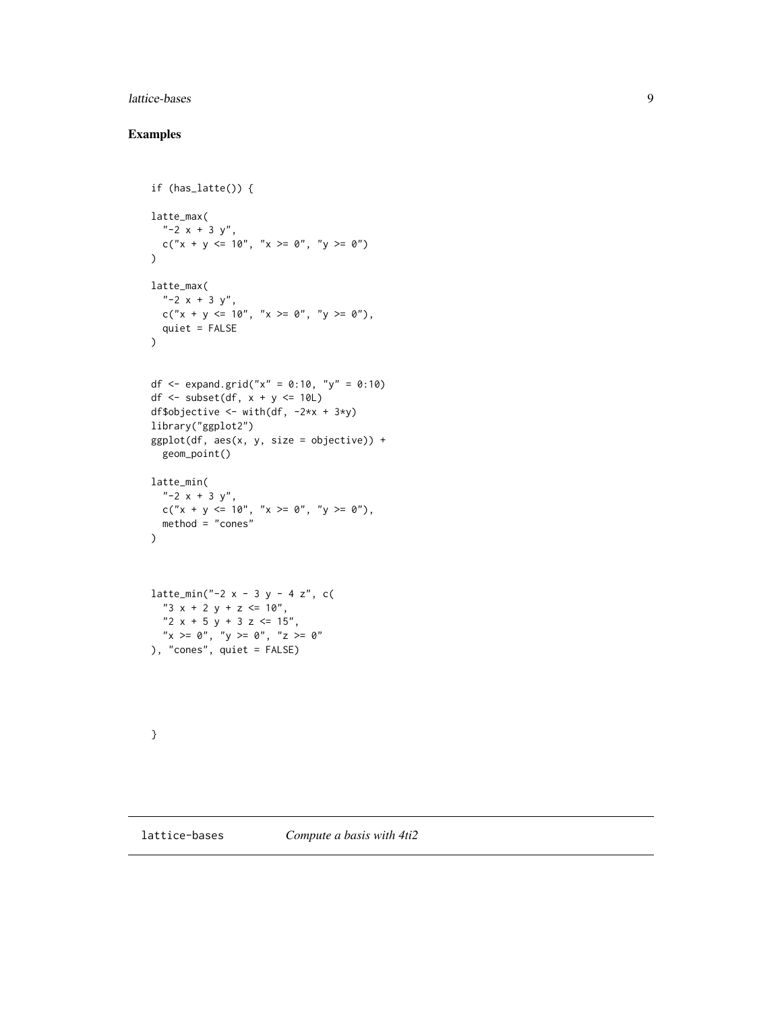# <span id="page-8-0"></span>lattice-bases 9

```
if (has_latte()) {
latte_max(
  "-2 x + 3 y",
 c("x + y <= 10", "x >= 0", "y >= 0")
\lambdalatte_max(
  " -2 x + 3 y",c("x + y <= 10", "x >= 0", "y >= 0"),
 quiet = FALSE
\mathcal{L}df <- expand.grid("x" = 0:10, "y" = 0:10)
df \le subset(df, x + y \le 10L)
df$objective <- with(df, -2*x + 3*y)
library("ggplot2")
ggplot(df, aes(x, y, size = objective)) +geom_point()
latte_min(
  "-2 x + 3 y",
 c("x + y <= 10", "x >= 0", "y >= 0"),
 method = "cones"
)
lattice\_min("-2 x - 3 y - 4 z", c()"3 x + 2 y + z \le 10",
  "2 x + 5 y + 3 z \le 15",
  "x \ge 0", "y \ge 0", "z \ge 0"
), "cones", quiet = FALSE)
}
```
<span id="page-8-1"></span>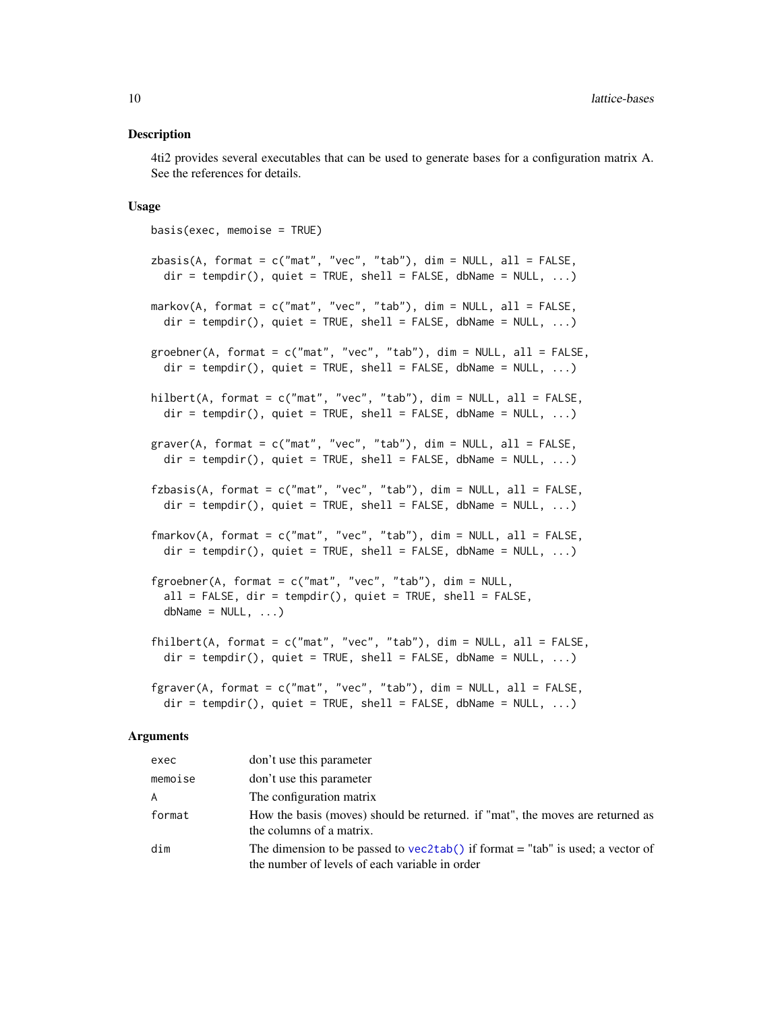#### <span id="page-9-0"></span>Description

4ti2 provides several executables that can be used to generate bases for a configuration matrix A. See the references for details.

#### Usage

```
basis(exec, memoise = TRUE)
zbasis(A, format = c("mat", "vec", "tab"), dim = NULL, all = FALSE,dir = tempdir(), quiet = TRUE, shell = FALSE, dbName = NULL, ...)
markov(A, format = c("mat", "vec", "tab"), dim = NULL, all = FALSE,
  dir = tempdir(), quiet = TRUE, shell = FALSE, dbName = NULL, ...)groebner(A, format = c("mat", "vec", "tab"), dim = NULL, all = FALSE,dir = tempdir(), quiet = TRUE, shell = FALSE, dbName = NULL, ...)hilbert(A, format = c("mat", "vec", "tab"), dim = NULL, all = FALSE,
  dir = tempdir(), quiet = TRUE, shell = FALSE, dbName = NULL, ...)graver(A, format = c("mat", "vec", "tab"), dim = NULL, all = FALSE,dir = tempdir(), quiet = TRUE, shell = FALSE, dbName = NULL, ...)fzbasis(A, format = c("mat", "vec", "tab"), dim = NULL, all = FALSE,dir = tempdir(), quiet = TRUE, shell = FALSE, dbName = NULL, ...)fmarkov(A, format = c("mat", "vec", "tab"), dim = NULL, all = FALSE,
  dir = tempdir(), quiet = TRUE, shell = FALSE, dbName = NULL, ...)fgroebner(A, format = c("mat", "vec", "tab"), dim = NULL,
  all = FALSE, dir = tempdir(), quiet = TRUE, shell = FALSE,dbName = NULL, ...)fhilbert(A, format = c("mat", "vec", "tab"), dim = NULL, all = FALSE,
  dir = tempdir(), quiet = TRUE, shell = FALSE, dbName = NULL, ...)fgraver(A, format = c("mat", "vec", "tab"), dim = NULL, all = FALSE,\text{dir} = \text{tempdir}(), quiet = TRUE, shell = FALSE, dbName = NULL, ...)
```
#### Arguments

| exec    | don't use this parameter                                                                                                           |
|---------|------------------------------------------------------------------------------------------------------------------------------------|
| memoise | don't use this parameter                                                                                                           |
| A       | The configuration matrix                                                                                                           |
| format  | How the basis (moves) should be returned, if "mat", the moves are returned as<br>the columns of a matrix.                          |
| dim     | The dimension to be passed to vec2tab() if format $=$ "tab" is used; a vector of<br>the number of levels of each variable in order |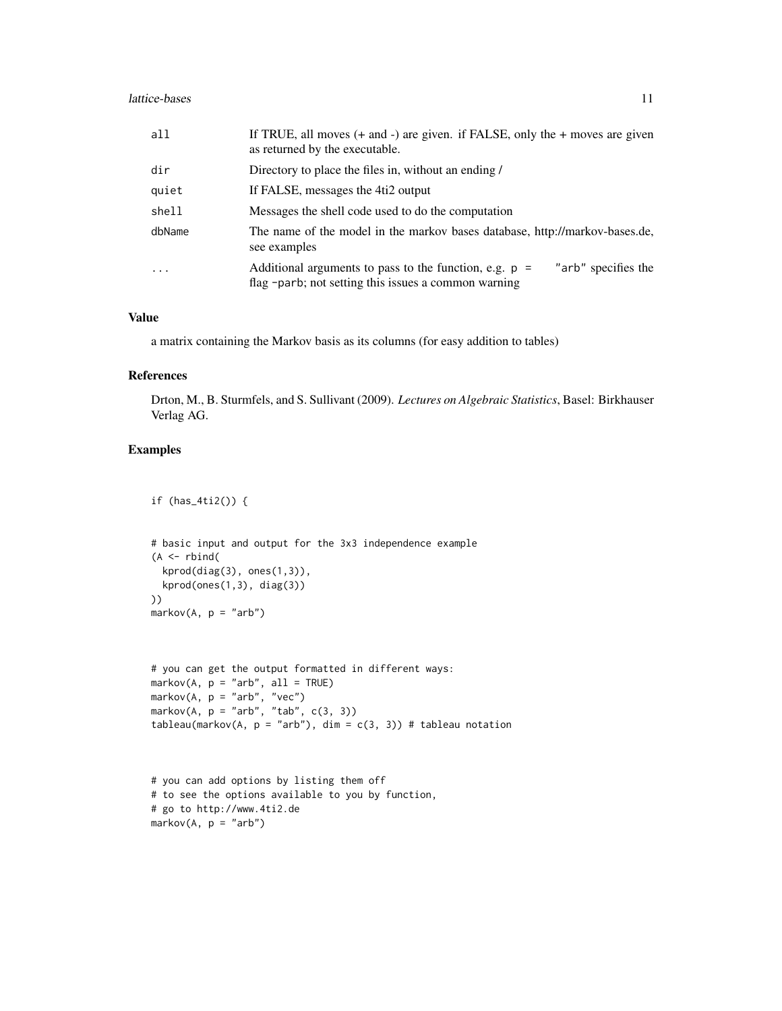| all     | If TRUE, all moves $(+$ and $-)$ are given. if FALSE, only the $+$ moves are given<br>as returned by the executable.                    |
|---------|-----------------------------------------------------------------------------------------------------------------------------------------|
| dir     | Directory to place the files in, without an ending /                                                                                    |
| quiet   | If FALSE, messages the 4ti2 output                                                                                                      |
| shell   | Messages the shell code used to do the computation                                                                                      |
| dbName  | The name of the model in the markov bases database, http://markov-bases.de,<br>see examples                                             |
| $\cdot$ | "arb" specifies the<br>Additional arguments to pass to the function, e.g. $p =$<br>flag -parb; not setting this issues a common warning |

#### Value

a matrix containing the Markov basis as its columns (for easy addition to tables)

#### References

Drton, M., B. Sturmfels, and S. Sullivant (2009). *Lectures on Algebraic Statistics*, Basel: Birkhauser Verlag AG.

# Examples

if (has\_4ti2()) {

```
# basic input and output for the 3x3 independence example
(A \leq r \text{bind})kprod(diag(3), ones(1,3)),
 kprod(ones(1,3), diag(3))
))
markov(A, p = "arb")
```

```
# you can get the output formatted in different ways:
markov(A, p = "arb", all = TRUE)markov(A, p = "arb", "vec")markov(A, p = "arb", "tab", c(3, 3))tableau(markov(A, p = "arb"), dim = c(3, 3)) # tableau notation
```

```
# you can add options by listing them off
# to see the options available to you by function,
# go to http://www.4ti2.de
markov(A, p = "arb")
```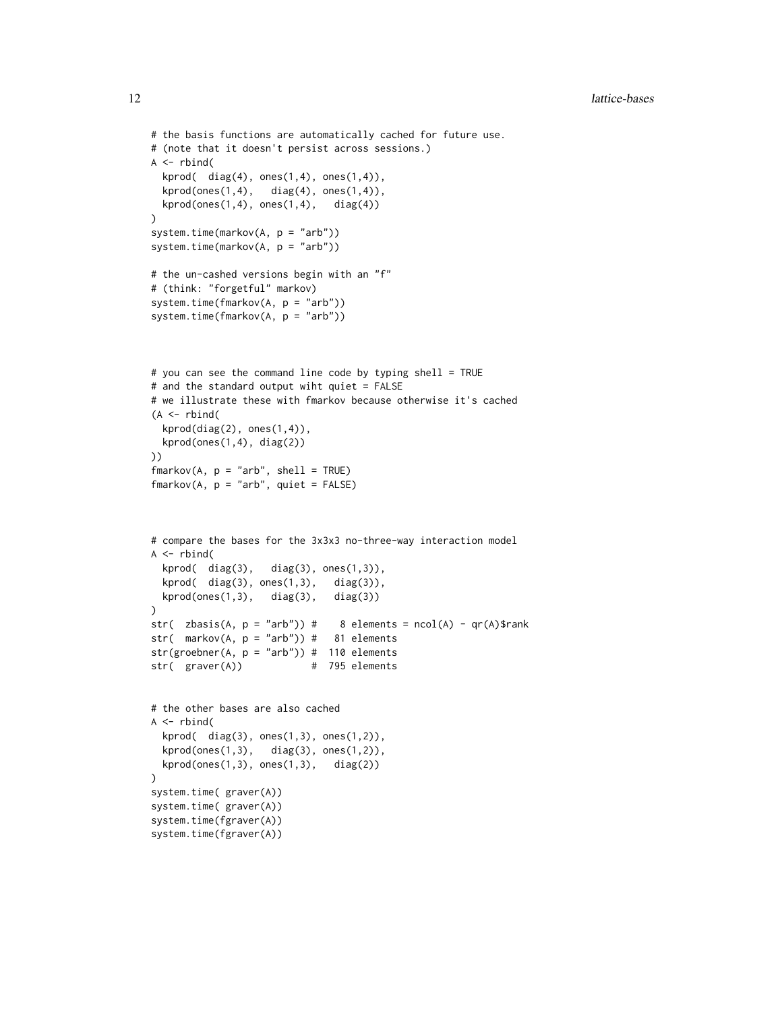```
# the basis functions are automatically cached for future use.
# (note that it doesn't persist across sessions.)
A \leftarrow \text{rbind}(kprod( diag(4), ones(1,4), ones(1,4)),
  kprod(ones(1,4), diag(4), ones(1,4)),kprod(ones(1,4), ones(1,4), diag(4))\lambdasystem.time(markov(A, p = "arb"))
system.time(markov(A, p = "arb"))
# the un-cashed versions begin with an "f"
# (think: "forgetful" markov)
system.time(fmarkov(A, p = "arb"))
system.time(fmarkov(A, p = "arb"))
# you can see the command line code by typing shell = TRUE
# and the standard output wiht quiet = FALSE
# we illustrate these with fmarkov because otherwise it's cached
(A \leq r \times r)kprod(diag(2), ones(1,4)),
  kprod(ones(1,4), diag(2))
))
fmarkov(A, p = "arb", shell = TRUE)fmarkov(A, p = "arb", quiet = FALSE)# compare the bases for the 3x3x3 no-three-way interaction model
A \leftarrow \text{rbind}(kprod( diag(3), diag(3), ones(1,3)),
  kprod(diag(3), ones(1,3), diag(3)),
  kprod(ones(1,3), diag(3), diag(3))\mathcal{L}str( zbasis(A, p = "arb")) # 8 elements = ncol(A) - qr(A)$rank
str( markov(A, p = "arb")) # 81 elements
str(groebner(A, p = "arb")) # 110 elements
str( graver(A)) # 795 elements
# the other bases are also cached
A \leftarrow \text{rbind}(kprod( diag(3), ones(1,3), ones(1,2)),
  kprod(ones(1,3), diag(3), ones(1,2)),
  kprod(ones(1,3), ones(1,3), diag(2))\mathcal{L}system.time( graver(A))
system.time( graver(A))
system.time(fgraver(A))
system.time(fgraver(A))
```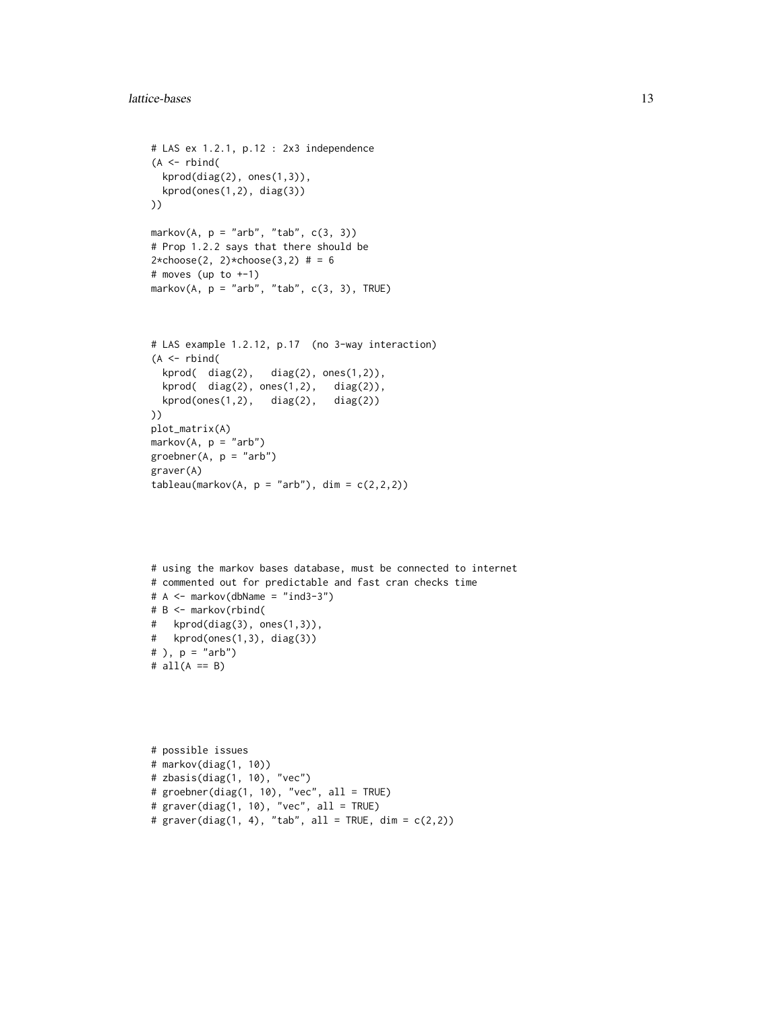```
# LAS ex 1.2.1, p.12 : 2x3 independence
(A \leq r \text{bind})kprod(diag(2), ones(1,3)),kprod(ones(1,2), diag(3))
))
markov(A, p = "arb", "tab", c(3, 3))# Prop 1.2.2 says that there should be
2 * choose(2, 2) * choose(3, 2) # = 6# moves (up to +-1)
markov(A, p = "arb", "tab", c(3, 3), TRUE)# LAS example 1.2.12, p.17 (no 3-way interaction)
(A \leq r \text{bind})kprod( diag(2), diag(2), ones(1,2)),
  kprod( diag(2), ones(1,2), diag(2)),
  kprod(ones(1,2), diag(2), diag(2))))
plot_matrix(A)
markov(A, p = "arb")
```

```
groebner(A, p = "arb")graver(A)
tableau(markov(A, p = "arb"), dim = c(2,2,2))
```

```
# using the markov bases database, must be connected to internet
# commented out for predictable and fast cran checks time
# A \leq - markov(dbName = "ind3-3")
# B <- markov(rbind(
# kprod(diag(3), ones(1,3)),
# kprod(ones(1,3), diag(3))
# ), p = "arb")
# all(A == B)
```

```
# possible issues
# markov(diag(1, 10))
# zbasis(diag(1, 10), "vec")
# groebner(diag(1, 10), "vec", all = TRUE)
# graver(diag(1, 10), "vec", all = TRUE)
# graver(diag(1, 4), "tab", all = TRUE, dim = c(2,2))
```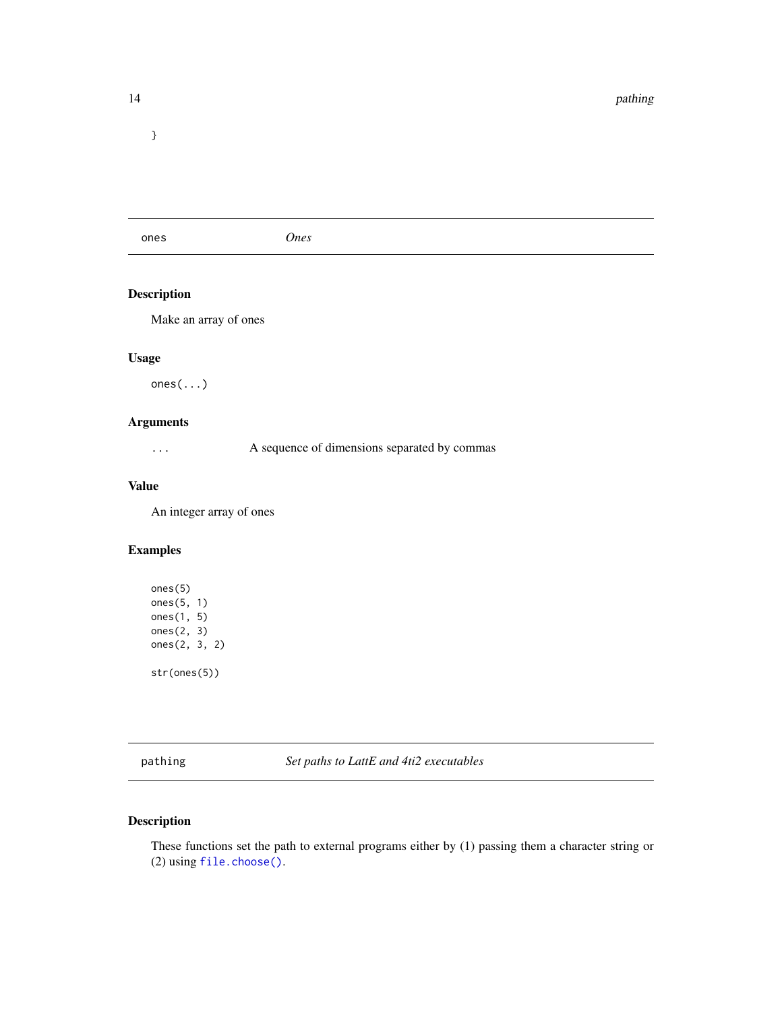<span id="page-13-0"></span>}

ones *Ones*

# Description

Make an array of ones

# Usage

ones(...)

# Arguments

... A sequence of dimensions separated by commas

# Value

An integer array of ones

# Examples

ones(5) ones(5, 1) ones(1, 5) ones(2, 3) ones(2, 3, 2) str(ones(5))

pathing *Set paths to LattE and 4ti2 executables*

# Description

These functions set the path to external programs either by (1) passing them a character string or (2) using [file.choose\(\)](#page-0-0).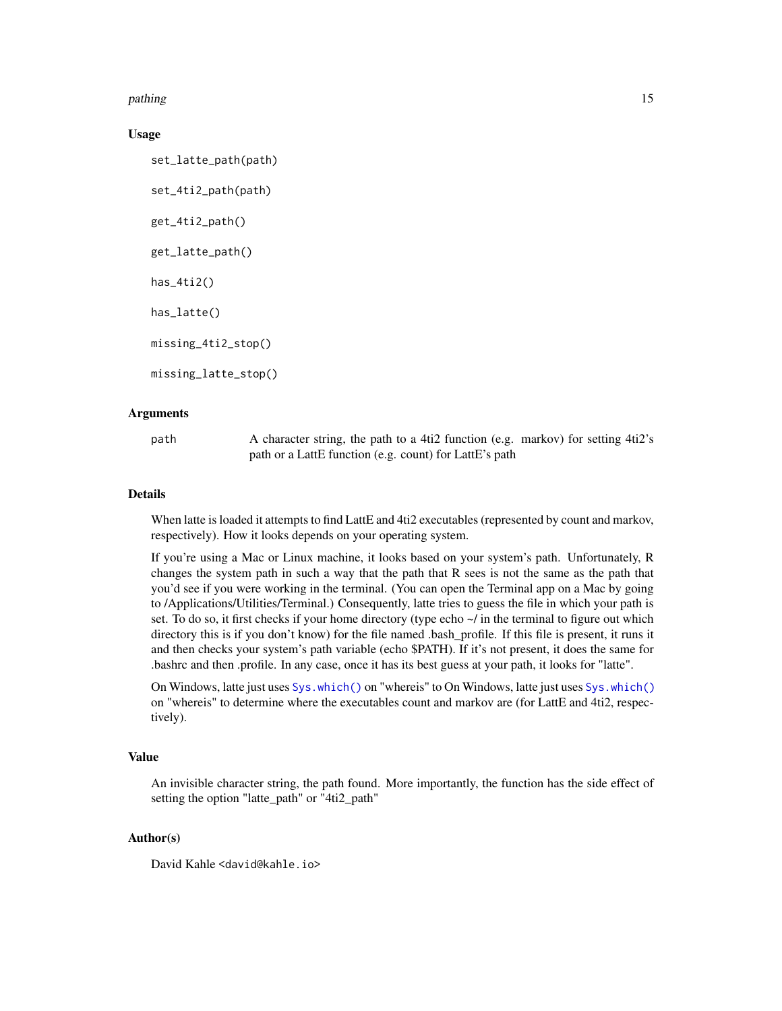<span id="page-14-0"></span>pathing the contract of the contract of the contract of the contract of the contract of the contract of the contract of the contract of the contract of the contract of the contract of the contract of the contract of the co

#### Usage

set\_latte\_path(path) set\_4ti2\_path(path) get\_4ti2\_path() get\_latte\_path() has\_4ti2() has\_latte() missing\_4ti2\_stop() missing\_latte\_stop()

### Arguments

path A character string, the path to a 4ti2 function (e.g. markov) for setting 4ti2's path or a LattE function (e.g. count) for LattE's path

#### Details

When latte is loaded it attempts to find LattE and 4ti2 executables (represented by count and markov, respectively). How it looks depends on your operating system.

If you're using a Mac or Linux machine, it looks based on your system's path. Unfortunately, R changes the system path in such a way that the path that R sees is not the same as the path that you'd see if you were working in the terminal. (You can open the Terminal app on a Mac by going to /Applications/Utilities/Terminal.) Consequently, latte tries to guess the file in which your path is set. To do so, it first checks if your home directory (type echo  $\sim$  in the terminal to figure out which directory this is if you don't know) for the file named .bash\_profile. If this file is present, it runs it and then checks your system's path variable (echo \$PATH). If it's not present, it does the same for .bashrc and then .profile. In any case, once it has its best guess at your path, it looks for "latte".

On Windows, latte just uses [Sys.which\(\)](#page-0-0) on "whereis" to On Windows, latte just uses [Sys.which\(\)](#page-0-0) on "whereis" to determine where the executables count and markov are (for LattE and 4ti2, respectively).

# Value

An invisible character string, the path found. More importantly, the function has the side effect of setting the option "latte\_path" or "4ti2\_path"

#### Author(s)

David Kahle <david@kahle.io>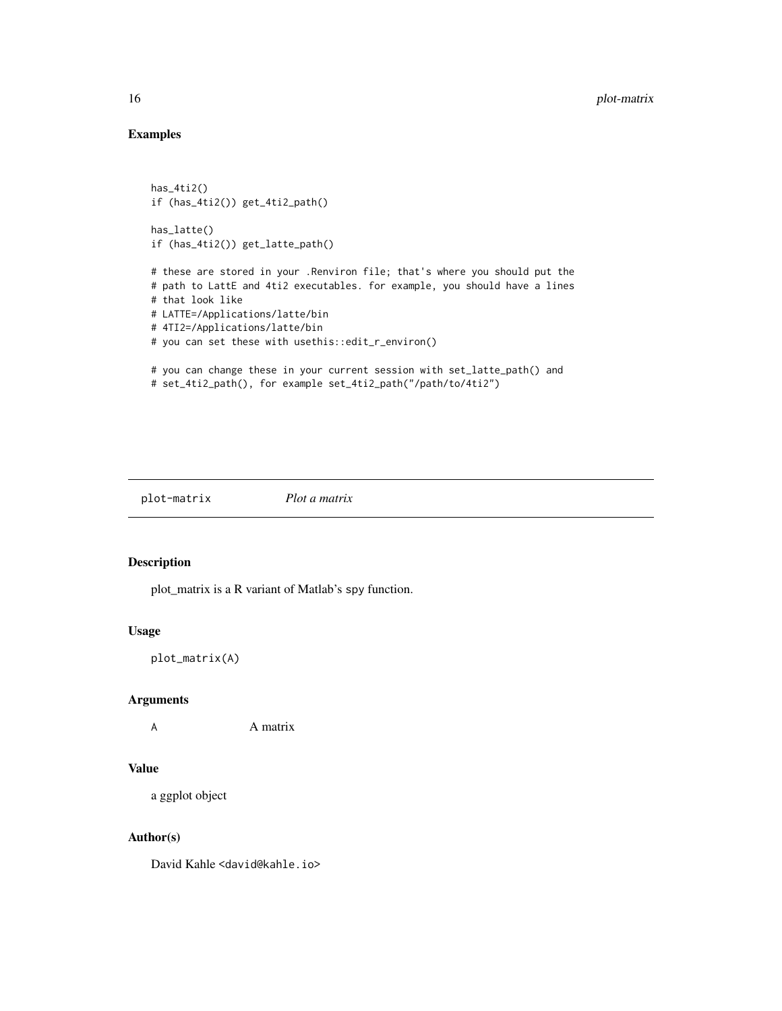# Examples

```
has_4ti2()
if (has_4ti2()) get_4ti2_path()
has_latte()
if (has_4ti2()) get_latte_path()
# these are stored in your .Renviron file; that's where you should put the
# path to LattE and 4ti2 executables. for example, you should have a lines
# that look like
# LATTE=/Applications/latte/bin
# 4TI2=/Applications/latte/bin
# you can set these with usethis::edit_r_environ()
# you can change these in your current session with set_latte_path() and
# set_4ti2_path(), for example set_4ti2_path("/path/to/4ti2")
```

```
plot-matrix Plot a matrix
```
#### Description

plot\_matrix is a R variant of Matlab's spy function.

#### Usage

```
plot_matrix(A)
```
#### Arguments

A **A** matrix

#### Value

a ggplot object

# Author(s)

David Kahle <david@kahle.io>

<span id="page-15-0"></span>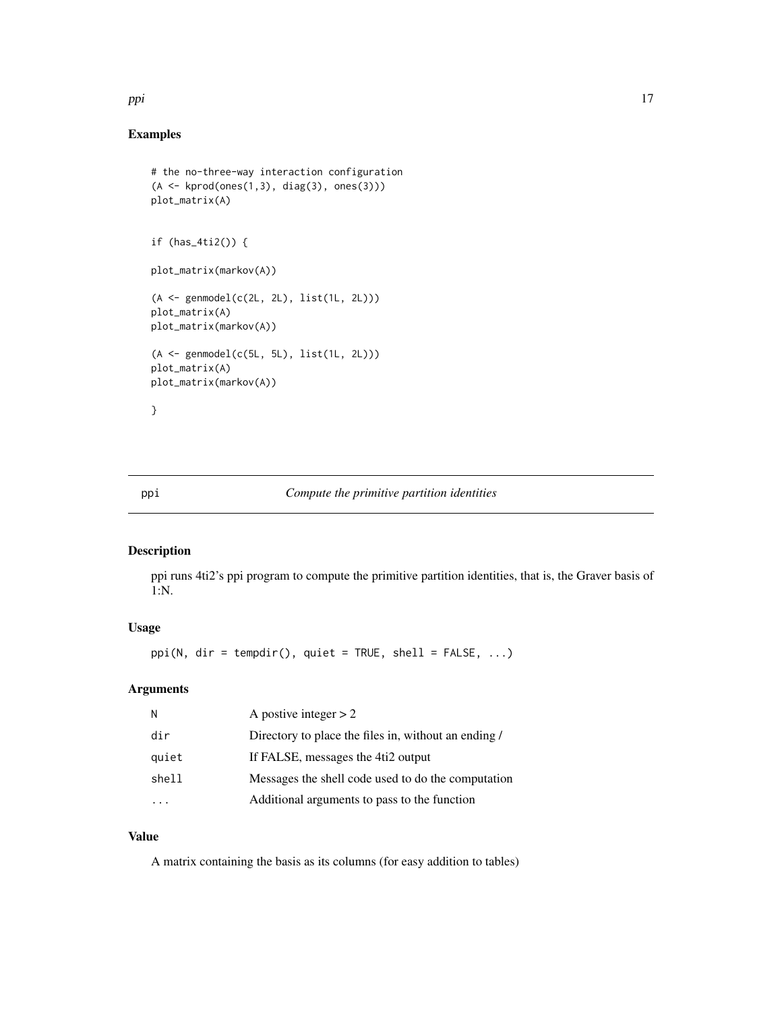#### <span id="page-16-0"></span>ppi termine termine termine termine termine termine termine termine termine termine termine termine termine te

# Examples

```
# the no-three-way interaction configuration
(A \leftarrow kprod(ones(1,3), diag(3), ones(3)))
plot_matrix(A)
if (has_4ti2()) {
plot_matrix(markov(A))
(A <- genmodel(c(2L, 2L), list(1L, 2L)))
plot_matrix(A)
plot_matrix(markov(A))
(A <- genmodel(c(5L, 5L), list(1L, 2L)))
plot_matrix(A)
plot_matrix(markov(A))
}
```
# ppi *Compute the primitive partition identities*

#### Description

ppi runs 4ti2's ppi program to compute the primitive partition identities, that is, the Graver basis of 1:N.

# Usage

ppi(N, dir = tempdir(), quiet = TRUE, shell = FALSE, ...)

#### Arguments

| N     | A postive integer $> 2$                              |
|-------|------------------------------------------------------|
| dir   | Directory to place the files in, without an ending / |
| quiet | If FALSE, messages the 4ti2 output                   |
| shell | Messages the shell code used to do the computation   |
|       | Additional arguments to pass to the function         |

# Value

A matrix containing the basis as its columns (for easy addition to tables)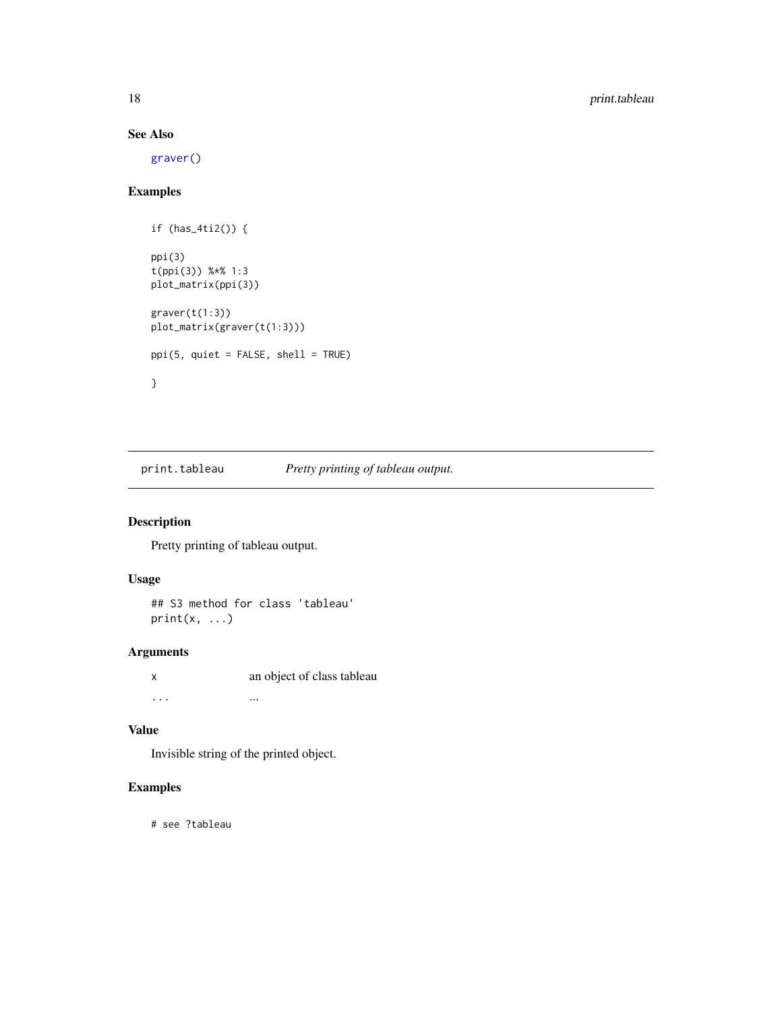# See Also

[graver\(\)](#page-8-1)

# Examples

```
if (has_4ti2()) {
ppi(3)
t(ppi(3)) %*% 1:3
plot_matrix(ppi(3))
g \text{raver}(t(1:3))plot_matrix(graver(t(1:3)))
ppi(5, quiet = FALSE, shell = TRUE)
}
```
print.tableau *Pretty printing of tableau output.*

# Description

Pretty printing of tableau output.

#### Usage

## S3 method for class 'tableau'  $print(x, \ldots)$ 

# Arguments

x an object of class tableau ... ... ... ... ... ... ... ...

# Value

Invisible string of the printed object.

# Examples

# see ?tableau

<span id="page-17-0"></span>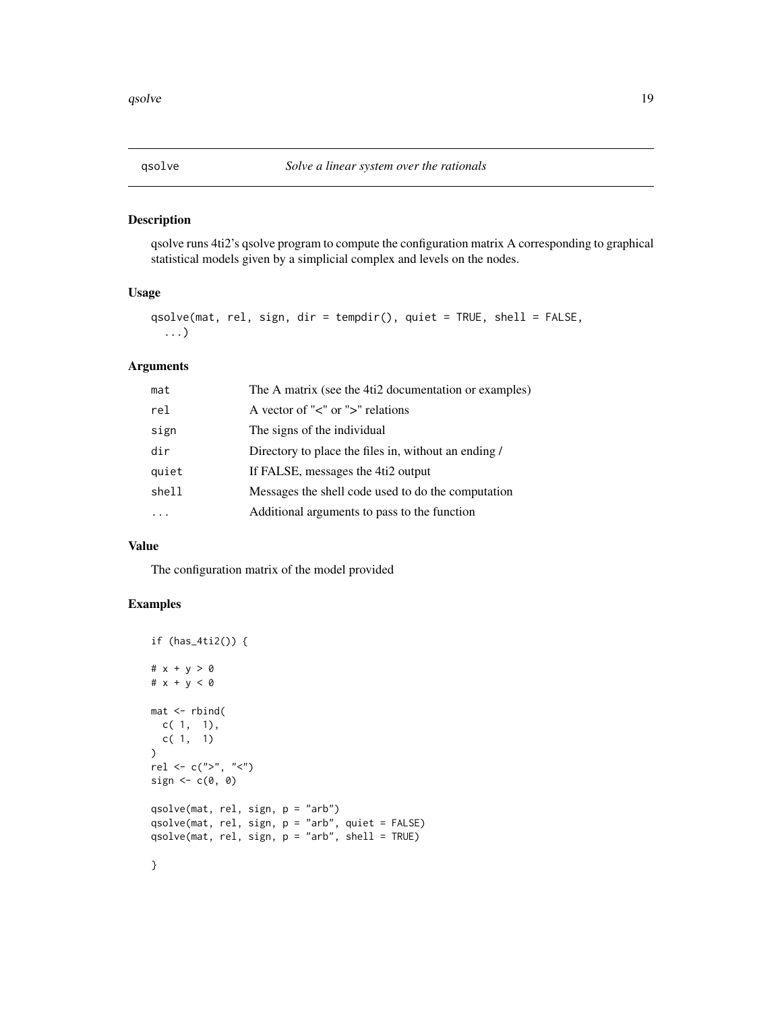<span id="page-18-0"></span>

# Description

qsolve runs 4ti2's qsolve program to compute the configuration matrix A corresponding to graphical statistical models given by a simplicial complex and levels on the nodes.

#### Usage

```
qsolve(mat, rel, sign, dir = tempdir(), quiet = TRUE, shell = FALSE,
  ...)
```
### Arguments

| mat   | The A matrix (see the 4ti2 documentation or examples) |
|-------|-------------------------------------------------------|
| rel   | A vector of " $\lt$ " or " $\gt$ " relations          |
| sign  | The signs of the individual                           |
| dir   | Directory to place the files in, without an ending /  |
| quiet | If FALSE, messages the 4ti2 output                    |
| shell | Messages the shell code used to do the computation    |
|       | Additional arguments to pass to the function          |

#### Value

The configuration matrix of the model provided

```
if (has_4ti2()) {
# x + y > 0
# x + y < 0
mat <- rbind(
  c( 1, 1),c( 1, 1)
)
rel <- c(">", "<")
sign \leftarrow c(0, 0)qsolve(mat, rel, sign, p = "arb")
qsolve(mat, rel, sign, p = "arb", quiet = FALSE)
qsolve(mat, rel, sign, p = "arb", shell = TRUE)
}
```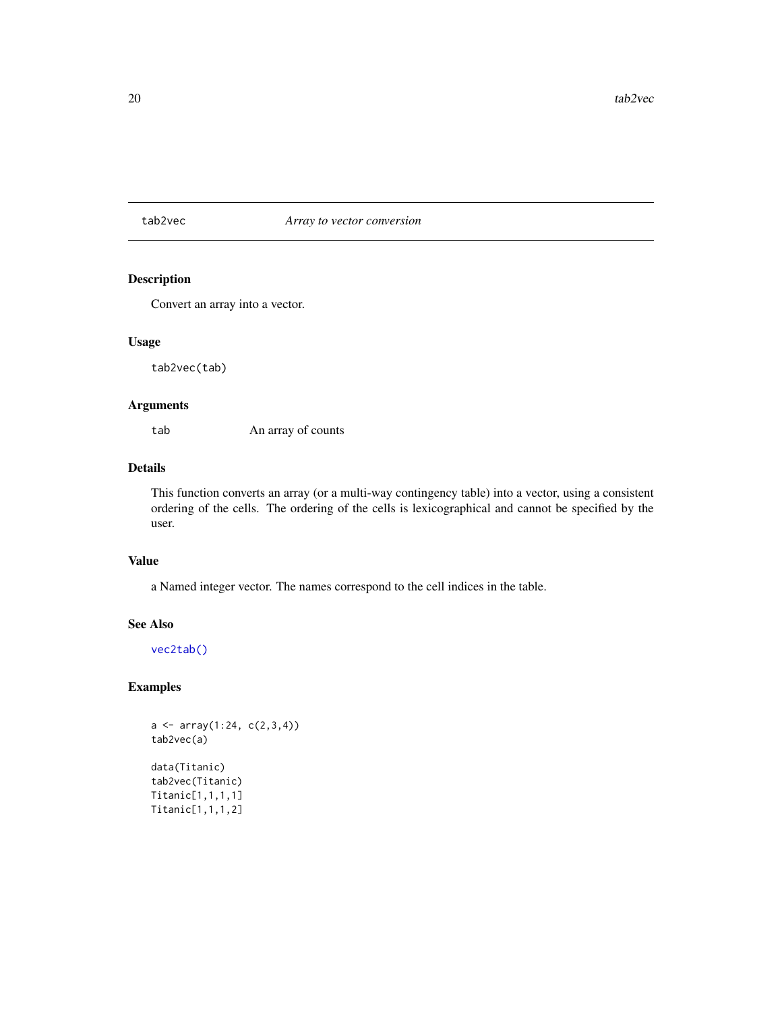#### <span id="page-19-1"></span><span id="page-19-0"></span>tab2vec *Array to vector conversion*

#### Description

Convert an array into a vector.

#### Usage

tab2vec(tab)

# Arguments

tab An array of counts

# Details

This function converts an array (or a multi-way contingency table) into a vector, using a consistent ordering of the cells. The ordering of the cells is lexicographical and cannot be specified by the user.

# Value

a Named integer vector. The names correspond to the cell indices in the table.

#### See Also

[vec2tab\(\)](#page-20-1)

```
a \leftarrow array(1:24, c(2,3,4))tab2vec(a)
data(Titanic)
tab2vec(Titanic)
Titanic[1,1,1,1]
Titanic[1,1,1,2]
```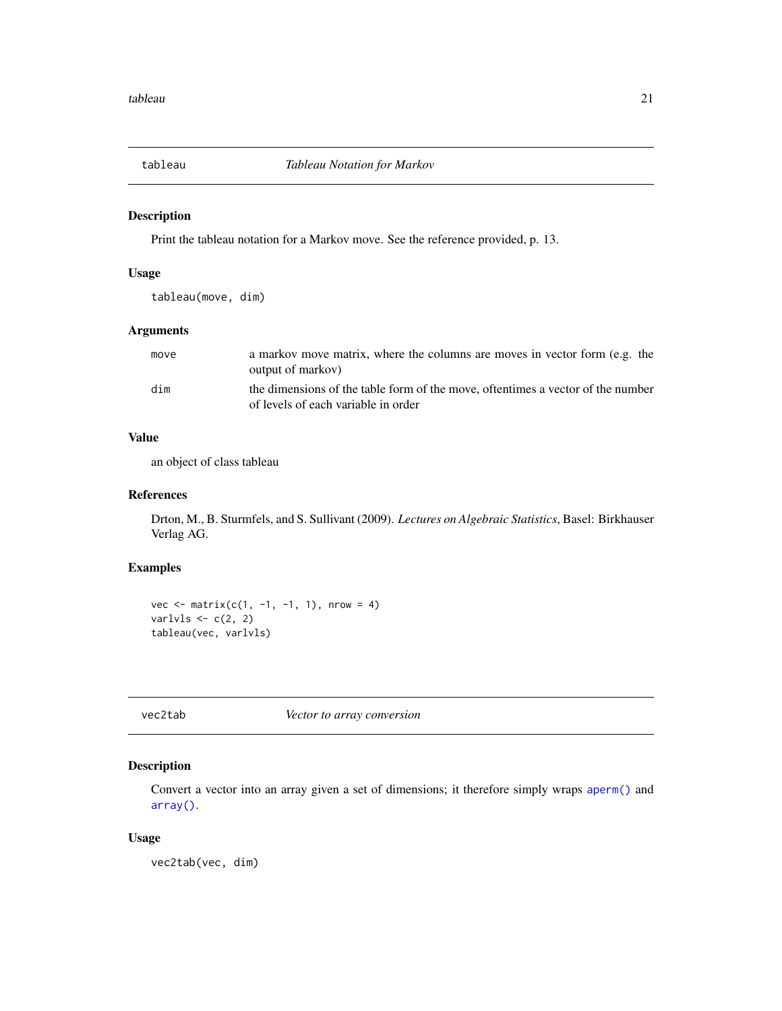<span id="page-20-0"></span>

#### Description

Print the tableau notation for a Markov move. See the reference provided, p. 13.

# Usage

tableau(move, dim)

# Arguments

| move | a markov move matrix, where the columns are moves in vector form (e.g. the<br>output of markov)                        |
|------|------------------------------------------------------------------------------------------------------------------------|
| dim  | the dimensions of the table form of the move, oftentimes a vector of the number<br>of levels of each variable in order |

# Value

an object of class tableau

#### References

Drton, M., B. Sturmfels, and S. Sullivant (2009). *Lectures on Algebraic Statistics*, Basel: Birkhauser Verlag AG.

# Examples

vec  $\leq$  matrix(c(1, -1, -1, 1), nrow = 4) varlvls  $\leftarrow$  c(2, 2) tableau(vec, varlvls)

<span id="page-20-1"></span>vec2tab *Vector to array conversion*

#### Description

Convert a vector into an array given a set of dimensions; it therefore simply wraps [aperm\(\)](#page-0-0) and [array\(\)](#page-0-0).

#### Usage

vec2tab(vec, dim)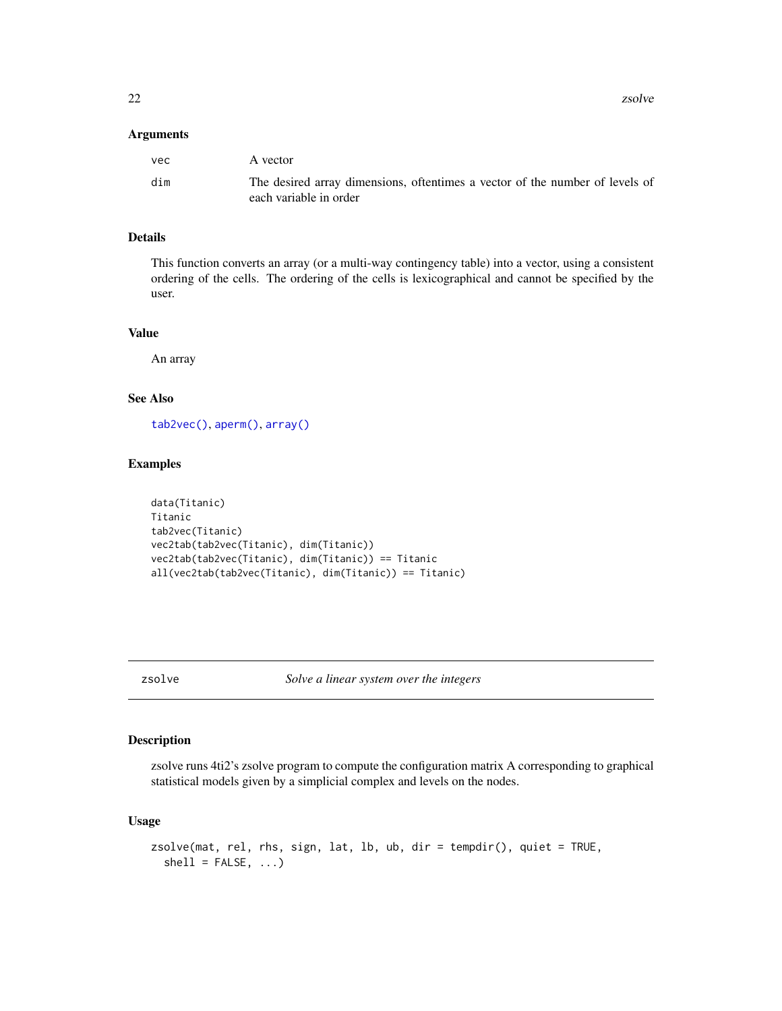<span id="page-21-0"></span>22 zoolver and the state of the state of the state of the state of the state of the state of the state of the state of the state of the state of the state of the state of the state of the state of the state of the state of

#### Arguments

| vec | A vector                                                                                               |
|-----|--------------------------------------------------------------------------------------------------------|
| dim | The desired array dimensions, oftentimes a vector of the number of levels of<br>each variable in order |

# Details

This function converts an array (or a multi-way contingency table) into a vector, using a consistent ordering of the cells. The ordering of the cells is lexicographical and cannot be specified by the user.

# Value

An array

# See Also

[tab2vec\(\)](#page-19-1), [aperm\(\)](#page-0-0), [array\(\)](#page-0-0)

# Examples

```
data(Titanic)
Titanic
tab2vec(Titanic)
vec2tab(tab2vec(Titanic), dim(Titanic))
vec2tab(tab2vec(Titanic), dim(Titanic)) == Titanic
all(vec2tab(tab2vec(Titanic), dim(Titanic)) == Titanic)
```
zsolve *Solve a linear system over the integers*

# Description

zsolve runs 4ti2's zsolve program to compute the configuration matrix A corresponding to graphical statistical models given by a simplicial complex and levels on the nodes.

#### Usage

```
zsolve(mat, rel, rhs, sign, lat, lb, ub, dir = tempdir(), quiet = TRUE,
  shell = FALSE, ...)
```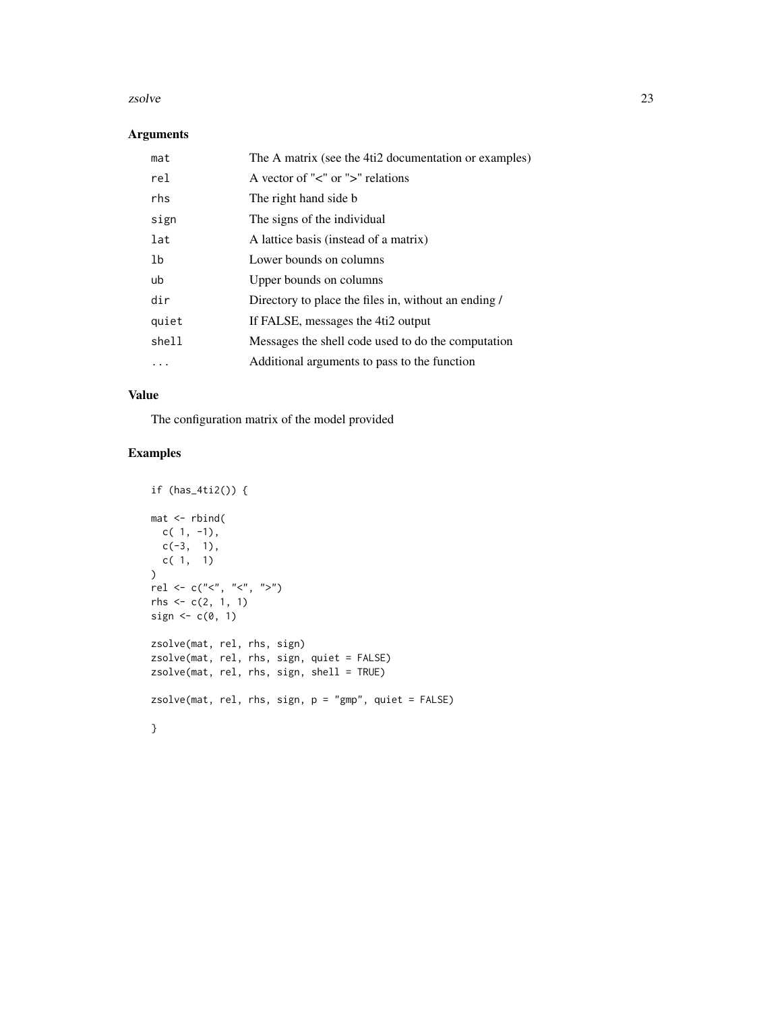#### zsolve 23

#### Arguments

| mat   | The A matrix (see the 4ti2 documentation or examples) |
|-------|-------------------------------------------------------|
| rel   | A vector of " $\lt$ " or " $\gt$ " relations          |
| rhs   | The right hand side b                                 |
| sign  | The signs of the individual                           |
| lat   | A lattice basis (instead of a matrix)                 |
| 1b    | Lower bounds on columns                               |
| ub    | Upper bounds on columns                               |
| dir   | Directory to place the files in, without an ending /  |
| quiet | If FALSE, messages the 4ti2 output                    |
| shell | Messages the shell code used to do the computation    |
|       | Additional arguments to pass to the function          |

# Value

The configuration matrix of the model provided

```
if (has_4ti2()) {
mat <- rbind(
  c( 1, -1),
  c(-3, 1),c( 1, 1)
)
rel <- c("<", "<", ">")
rhs <- c(2, 1, 1)
sign \leftarrow c(0, 1)zsolve(mat, rel, rhs, sign)
zsolve(mat, rel, rhs, sign, quiet = FALSE)
zsolve(mat, rel, rhs, sign, shell = TRUE)
zsolve(mat, rel, rhs, sign, p = "gmp", quiet = FALSE)
}
```